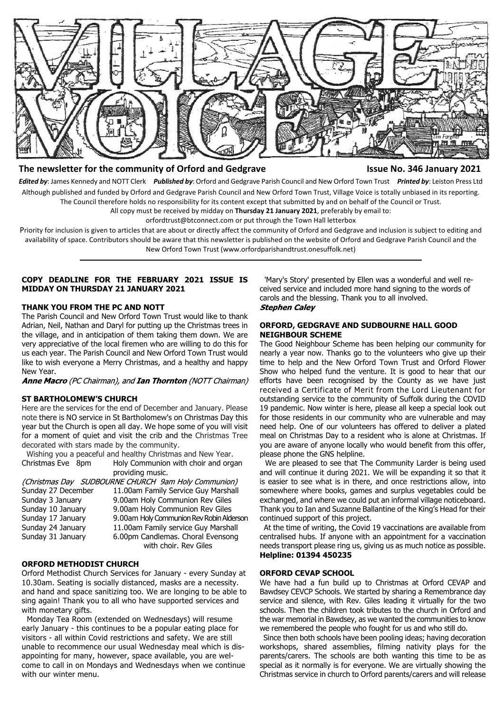

# **The newsletter for the community of Orford and Gedgrave Issue No. 346 January 2021**

*Edited by*: James Kennedy and NOTT Clerk *Published by*: Orford and Gedgrave Parish Council and New Orford Town Trust *Printed by*: Leiston Press Ltd Although published and funded by Orford and Gedgrave Parish Council and New Orford Town Trust, Village Voice is totally unbiased in its reporting. The Council therefore holds no responsibility for its content except that submitted by and on behalf of the Council or Trust.

All copy must be received by midday on **Thursday 21 January 2021**, preferably by email to:

orfordtrust@btconnect.com or put through the Town Hall letterbox

Priority for inclusion is given to articles that are about or directly affect the community of Orford and Gedgrave and inclusion is subject to editing and availability of space. Contributors should be aware that this newsletter is published on the website of Orford and Gedgrave Parish Council and the New Orford Town Trust (www.orfordparishandtrust.onesuffolk.net)

## **COPY DEADLINE FOR THE FEBRUARY 2021 ISSUE IS MIDDAY ON THURSDAY 21 JANUARY 2021**

## **THANK YOU FROM THE PC AND NOTT**

The Parish Council and New Orford Town Trust would like to thank Adrian, Neil, Nathan and Daryl for putting up the Christmas trees in the village, and in anticipation of them taking them down. We are very appreciative of the local firemen who are willing to do this for us each year. The Parish Council and New Orford Town Trust would like to wish everyone a Merry Christmas, and a healthy and happy New Year.

Anne Macro (PC Chairman), and Ian Thornton (NOTT Chairman)

### **ST BARTHOLOMEW'S CHURCH**

Here are the services for the end of December and January. Please note there is NO service in St Bartholomew's on Christmas Day this year but the Church is open all day. We hope some of you will visit for a moment of quiet and visit the crib and the Christmas Tree decorated with stars made by the community.

 Wishing you a peaceful and healthy Christmas and New Year. Christmas Eve 8pm Holy Communion with choir and organ providing music.

|                    | (Christmas Day SUDBOURNE CHURCH 9am Holy Communion) |  |
|--------------------|-----------------------------------------------------|--|
| Sunday 27 December | 11.00am Family Service Guy Marshall                 |  |
| Sunday 3 January   | 9.00am Holy Communion Rev Giles                     |  |
| Sunday 10 January  | 9.00am Holy Communion Rev Giles                     |  |
| Sunday 17 January  | 9.00am Holy Communion Rev Robin Alderson            |  |
| Sunday 24 January  | 11.00am Family service Guy Marshall                 |  |
| Sunday 31 January  | 6.00pm Candlemas. Choral Evensong                   |  |
|                    | with choir. Rev Giles                               |  |

# **ORFORD METHODIST CHURCH**

Orford Methodist Church Services for January - every Sunday at 10.30am. Seating is socially distanced, masks are a necessity. and hand and space sanitizing too. We are longing to be able to sing again! Thank you to all who have supported services and with monetary gifts.

 Monday Tea Room (extended on Wednesdays) will resume early January - this continues to be a popular eating place for visitors - all within Covid restrictions and safety. We are still unable to recommence our usual Wednesday meal which is disappointing for many, however, space available, you are welcome to call in on Mondays and Wednesdays when we continue with our winter menu.

 'Mary's Story' presented by Ellen was a wonderful and well received service and included more hand signing to the words of carols and the blessing. Thank you to all involved. **Stephen Caley** 

## **ORFORD, GEDGRAVE AND SUDBOURNE HALL GOOD NEIGHBOUR SCHEME**

The Good Neighbour Scheme has been helping our community for nearly a year now. Thanks go to the volunteers who give up their time to help and the New Orford Town Trust and Orford Flower Show who helped fund the venture. It is good to hear that our efforts have been recognised by the County as we have just received a Certificate of Merit from the Lord Lieutenant for outstanding service to the community of Suffolk during the COVID 19 pandemic. Now winter is here, please all keep a special look out for those residents in our community who are vulnerable and may need help. One of our volunteers has offered to deliver a plated meal on Christmas Day to a resident who is alone at Christmas. If you are aware of anyone locally who would benefit from this offer, please phone the GNS helpline.

 We are pleased to see that The Community Larder is being used and will continue it during 2021. We will be expanding it so that it is easier to see what is in there, and once restrictions allow, into somewhere where books, games and surplus vegetables could be exchanged, and where we could put an informal village noticeboard. Thank you to Ian and Suzanne Ballantine of the King's Head for their continued support of this project.

 At the time of writing, the Covid 19 vaccinations are available from centralised hubs. If anyone with an appointment for a vaccination needs transport please ring us, giving us as much notice as possible. **Helpline: 01394 450235**

## **ORFORD CEVAP SCHOOL**

We have had a fun build up to Christmas at Orford CEVAP and Bawdsey CEVCP Schools. We started by sharing a Remembrance day service and silence, with Rev. Giles leading it virtually for the two schools. Then the children took tributes to the church in Orford and the war memorial in Bawdsey, as we wanted the communities to know we remembered the people who fought for us and who still do.

 Since then both schools have been pooling ideas; having decoration workshops, shared assemblies, filming nativity plays for the parents/carers. The schools are both wanting this time to be as special as it normally is for everyone. We are virtually showing the Christmas service in church to Orford parents/carers and will release